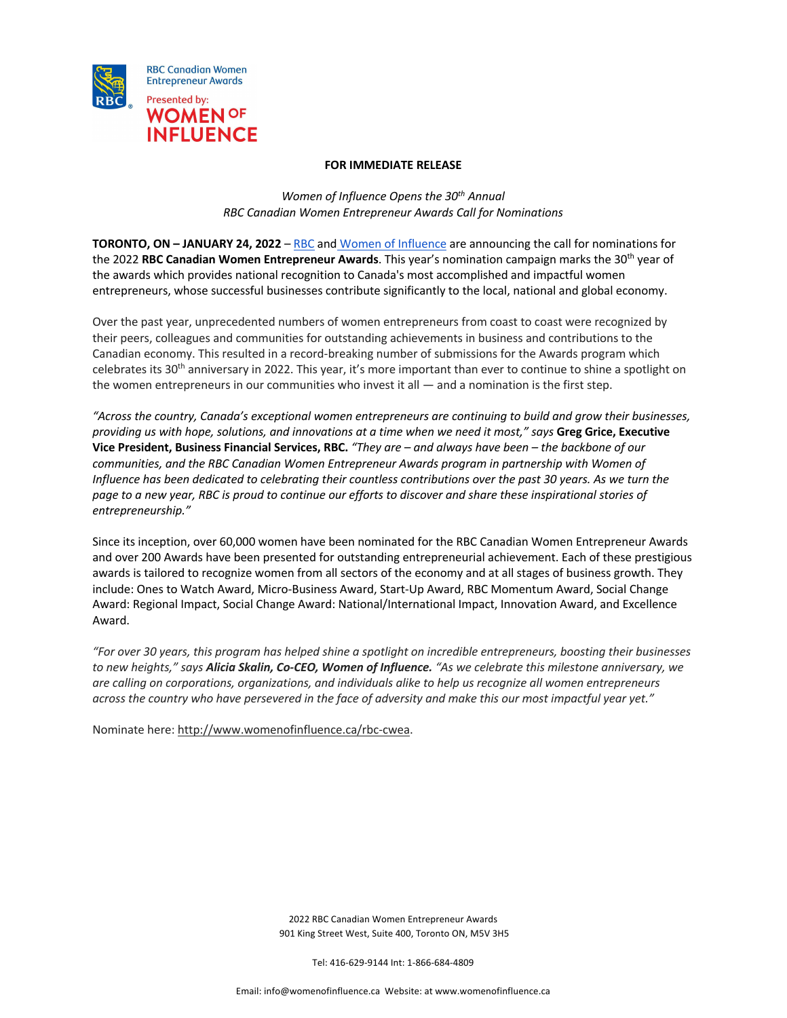

## **FOR IMMEDIATE RELEASE**

*Women of Influence Opens the 30th Annual RBC Canadian Women Entrepreneur Awards Call for Nominations*

**TORONTO, ON – JANUARY 24, 2022** – RBC and Women of Influence are announcing the call for nominations for the 2022 **RBC Canadian Women Entrepreneur Awards**. This year's nomination campaign marks the 30th year of the awards which provides national recognition to Canada's most accomplished and impactful women entrepreneurs, whose successful businesses contribute significantly to the local, national and global economy.

Over the past year, unprecedented numbers of women entrepreneurs from coast to coast were recognized by their peers, colleagues and communities for outstanding achievements in business and contributions to the Canadian economy. This resulted in a record-breaking number of submissions for the Awards program which celebrates its  $30<sup>th</sup>$  anniversary in 2022. This year, it's more important than ever to continue to shine a spotlight on the women entrepreneurs in our communities who invest it all — and a nomination is the first step.

*"Across the country, Canada's exceptional women entrepreneurs are continuing to build and grow their businesses, providing us with hope, solutions, and innovations at a time when we need it most," says* **Greg Grice, Executive Vice President, Business Financial Services, RBC.** *"They are – and always have been – the backbone of our communities, and the RBC Canadian Women Entrepreneur Awards program in partnership with Women of Influence has been dedicated to celebrating their countless contributions over the past 30 years. As we turn the page to a new year, RBC is proud to continue our efforts to discover and share these inspirational stories of entrepreneurship."*

Since its inception, over 60,000 women have been nominated for the RBC Canadian Women Entrepreneur Awards and over 200 Awards have been presented for outstanding entrepreneurial achievement. Each of these prestigious awards is tailored to recognize women from all sectors of the economy and at all stages of business growth. They include: Ones to Watch Award, Micro-Business Award, Start-Up Award, RBC Momentum Award, Social Change Award: Regional Impact, Social Change Award: National/International Impact, Innovation Award, and Excellence Award.

*"For over 30 years, this program has helped shine a spotlight on incredible entrepreneurs, boosting their businesses to new heights," says Alicia Skalin, Co-CEO, Women of Influence. "As we celebrate this milestone anniversary, we are calling on corporations, organizations, and individuals alike to help us recognize all women entrepreneurs across the country who have persevered in the face of adversity and make this our most impactful year yet."*

Nominate here: http://www.womenofinfluence.ca/rbc-cwea.

2022 RBC Canadian Women Entrepreneur Awards 901 King Street West, Suite 400, Toronto ON, M5V 3H5

Tel: 416-629-9144 Int: 1-866-684-4809